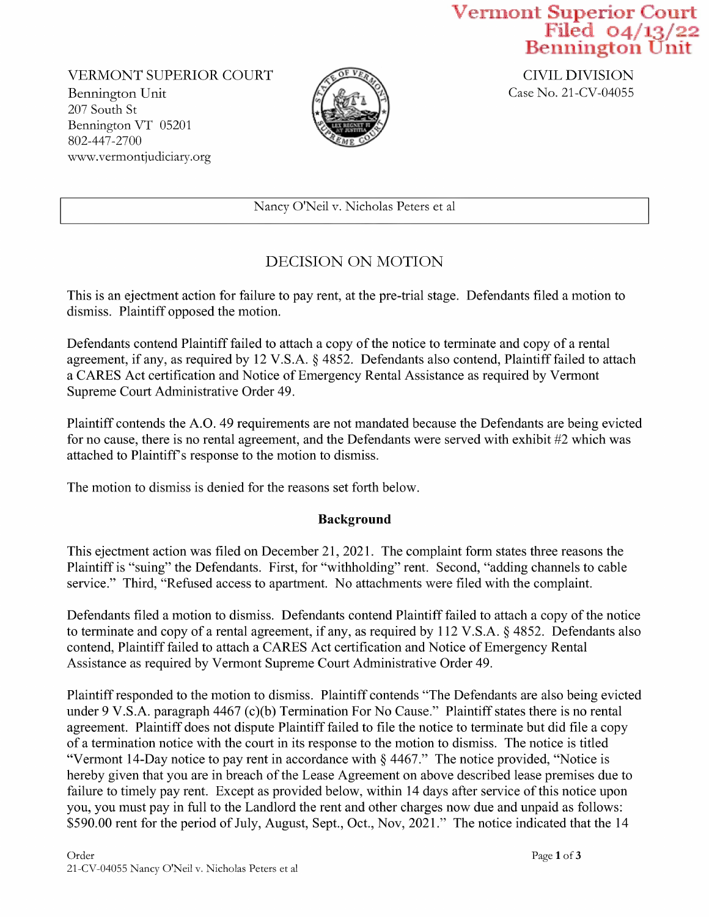# Vermont Superior Court Filed 04/13/22 Bennington Unit

VERMONT SUPERIOR COURT<br>Bennington Unit Case No. 21-CV-04055 Bennington Unit 207 South St Bennington VT <sup>05201</sup> 802-447-2700 WWW.Vermontjudiciary.org



CIVIL DIVISION

Nancy O'Neil v. Nicholas Peters et a1

## DECISION ON MOTION

This is an ejectment action for failure to pay rent, at the pre-trial stage. Defendants filed a motion to dismiss. Plaintiff opposed the motion.

Defendants contend Plaintiff failed to attach a copy of the notice to terminate and copy of a rental agreement, if any, as required by 12 V.S.A. § 4852. Defendants also contend, Plaintiff failed to attach a CARES Act certification and Notice of Emergency Rental Assistance as required by Vermont Supreme Court Administrative Order 49.

Plaintiff contends the A.O. 49 requirements are not mandated because the Defendants are being evicted for no cause, there is no rental agreement, and the Defendants were served with exhibit #2 which was attached to Plaintiff's response to the motion to dismiss.

The motion to dismiss is denied for the reasons set forth below.

### Background

This ejectment action was filed on December 21, 2021. The complaint form states three reasons the Plaintiff is "suing" the Defendants. First, for "withholding" rent. Second, "adding channels to cable service." Third, "Refused access to apartment. No attachments were filed with the complaint.

Defendants filed a motion to dismiss. Defendants contend Plaintiff failed to attach a copy of the notice to terminate and copy of a rental agreement, if any, as required by 112 V.S.A. § 4852. Defendants also contend, Plaintiff failed to attach a CARES Act certification and Notice of Emergency Rental Assistance as required by Vermont Supreme Court Administrative Order 49.

Plaintiffresponded to the motion to dismiss. Plaintiff contends "The Defendants are also being evicted under 9 V.S.A. paragraph 4467 (c)(b) Termination For No Cause." Plaintiff states there is no rental agreement. Plaintiff does not dispute Plaintiff failed to file the notice to terminate but did file a copy of a termination notice with the court in its response to the motion to dismiss. The notice is titled "Vermont 14-Day notice to pay rent in accordance with § 4467." The notice provided, "Notice is hereby given that you are in breach of the Lease Agreement on above described lease premises due to failure to timely pay rent. Except as provided below, within l4 days after service of this notice upon you, you must pay in full to the Landlord the rent and other charges now due and unpaid as follows: \$590.00 rent for the period of July, August, Sept., Oct., Nov, 2021." The notice indicated that the 14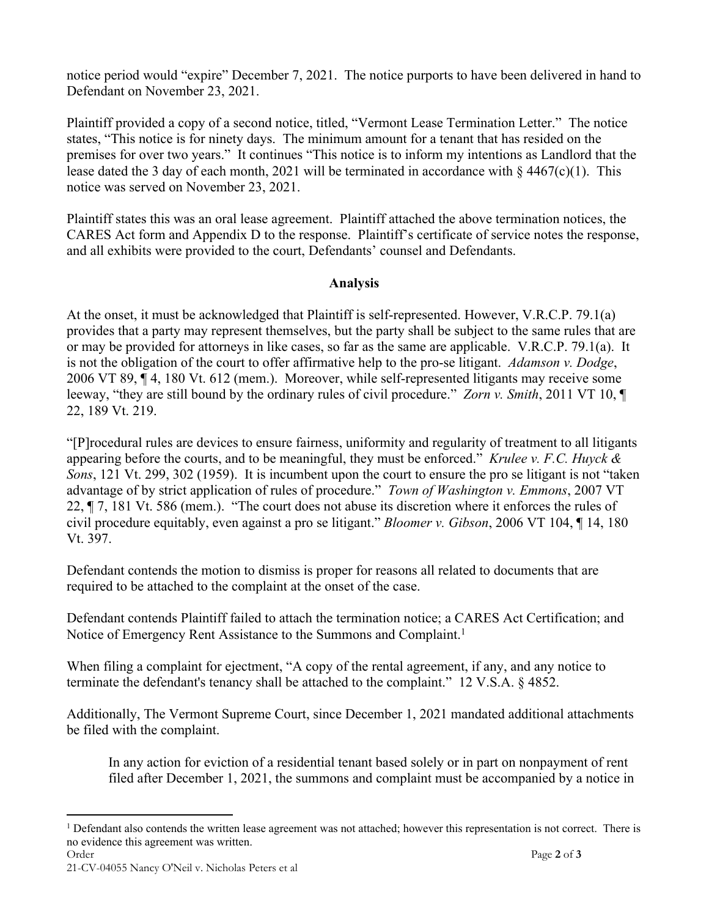notice period would "expire" December 7, 2021. The notice purports to have been delivered in hand to Defendant on November 23, 2021.

Plaintiff provided a copy of a second notice, titled, "Vermont Lease Termination Letter." The notice states, "This notice is for ninety days. The minimum amount for a tenant that has resided on the premises for over two years." It continues "This notice is to inform my intentions as Landlord that the lease dated the 3 day of each month, 2021 will be terminated in accordance with  $\S$  4467(c)(1). This notice was served on November 23, 2021.

Plaintiff states this was an oral lease agreement. Plaintiff attached the above termination notices, the CARES Act form and Appendix D to the response. Plaintiff's certificate of service notes the response, and all exhibits were provided to the court, Defendants' counsel and Defendants.

#### **Analysis**

At the onset, it must be acknowledged that Plaintiff is self-represented. However, V.R.C.P. 79.1(a) provides that a party may represent themselves, but the party shall be subject to the same rules that are or may be provided for attorneys in like cases, so far as the same are applicable. V.R.C.P. 79.1(a). It is not the obligation of the court to offer affirmative help to the pro-se litigant. *Adamson v. Dodge*, 2006 VT 89, ¶ 4, 180 Vt. 612 (mem.). Moreover, while self-represented litigants may receive some leeway, "they are still bound by the ordinary rules of civil procedure." *Zorn v. Smith*, 2011 VT 10, ¶ 22, 189 Vt. 219.

"[P]rocedural rules are devices to ensure fairness, uniformity and regularity of treatment to all litigants appearing before the courts, and to be meaningful, they must be enforced." *Krulee v. F.C. Huyck & Sons*, 121 Vt. 299, 302 (1959). It is incumbent upon the court to ensure the pro se litigant is not "taken advantage of by strict application of rules of procedure." *Town of Washington v. Emmons*, 2007 VT 22, ¶ 7, 181 Vt. 586 (mem.). "The court does not abuse its discretion where it enforces the rules of civil procedure equitably, even against a pro se litigant." *Bloomer v. Gibson*, 2006 VT 104, ¶ 14, 180 Vt. 397.

Defendant contends the motion to dismiss is proper for reasons all related to documents that are required to be attached to the complaint at the onset of the case.

Defendant contends Plaintiff failed to attach the termination notice; a CARES Act Certification; and Notice of Emergency Rent Assistance to the Summons and Complaint.<sup>1</sup>

When filing a complaint for ejectment, "A copy of the rental agreement, if any, and any notice to terminate the defendant's tenancy shall be attached to the complaint." 12 V.S.A. § 4852.

Additionally, The Vermont Supreme Court, since December 1, 2021 mandated additional attachments be filed with the complaint.

In any action for eviction of a residential tenant based solely or in part on nonpayment of rent filed after December 1, 2021, the summons and complaint must be accompanied by a notice in

<sup>&</sup>lt;sup>1</sup> Defendant also contends the written lease agreement was not attached; however this representation is not correct. There is no evidence this agreement was written.